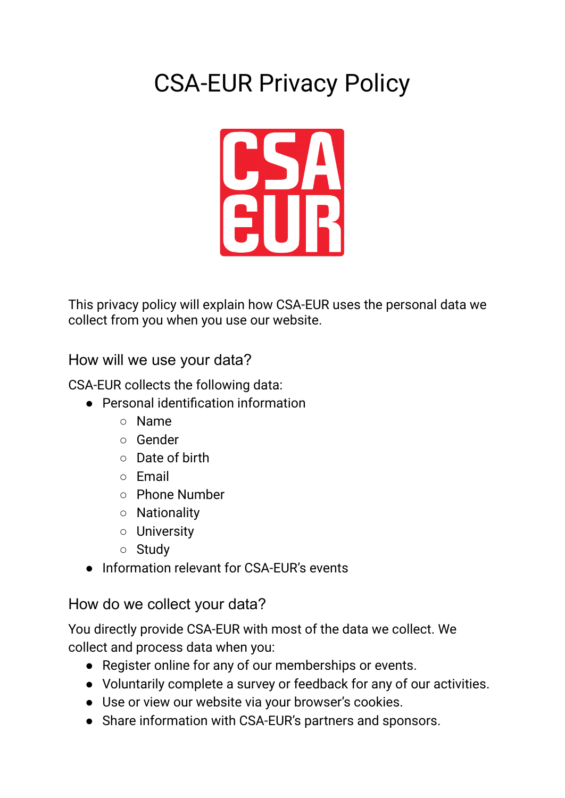# CSA-EUR Privacy Policy



This privacy policy will explain how CSA-EUR uses the personal data we collect from you when you use our website.

How will we use your data?

CSA-EUR collects the following data:

- Personal identification information
	- Name
	- Gender
	- Date of birth
	- Email
	- Phone Number
	- Nationality
	- University
	- Study
- Information relevant for CSA-EUR's events

# How do we collect your data?

You directly provide CSA-EUR with most of the data we collect. We collect and process data when you:

- Register online for any of our memberships or events.
- Voluntarily complete a survey or feedback for any of our activities.
- Use or view our website via your browser's cookies.
- Share information with CSA-EUR's partners and sponsors.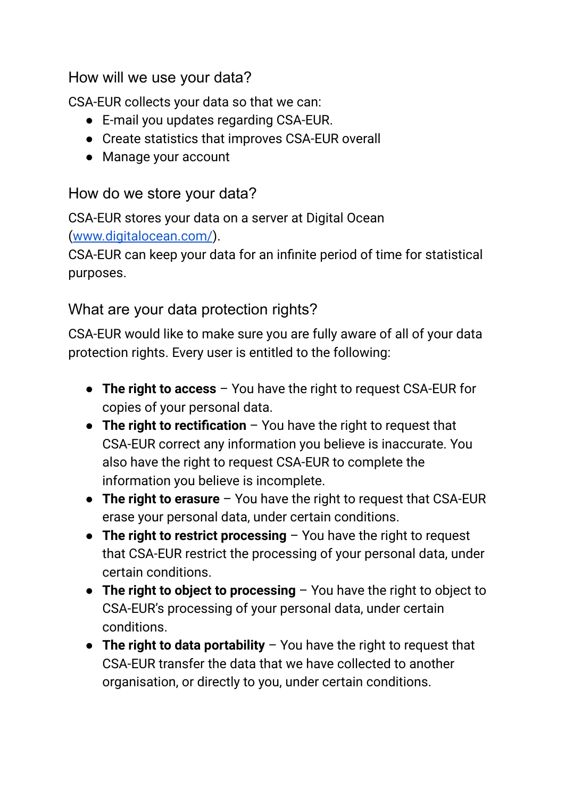# How will we use your data?

CSA-EUR collects your data so that we can:

- E-mail you updates regarding CSA-EUR.
- Create statistics that improves CSA-EUR overall
- Manage your account

#### How do we store your data?

CSA-EUR stores your data on a server at Digital Ocean ([www.digitalocean.com/](https://www.digitalocean.com/)).

CSA-EUR can keep your data for an infinite period of time for statistical purposes.

#### What are your data protection rights?

CSA-EUR would like to make sure you are fully aware of all of your data protection rights. Every user is entitled to the following:

- **The right to access** You have the right to request CSA-EUR for copies of your personal data.
- **The right to rectification** You have the right to request that CSA-EUR correct any information you believe is inaccurate. You also have the right to request CSA-EUR to complete the information you believe is incomplete.
- **The right to erasure** You have the right to request that CSA-EUR erase your personal data, under certain conditions.
- **The right to restrict processing** You have the right to request that CSA-EUR restrict the processing of your personal data, under certain conditions.
- **The right to object to processing** You have the right to object to CSA-EUR's processing of your personal data, under certain conditions.
- **The right to data portability** You have the right to request that CSA-EUR transfer the data that we have collected to another organisation, or directly to you, under certain conditions.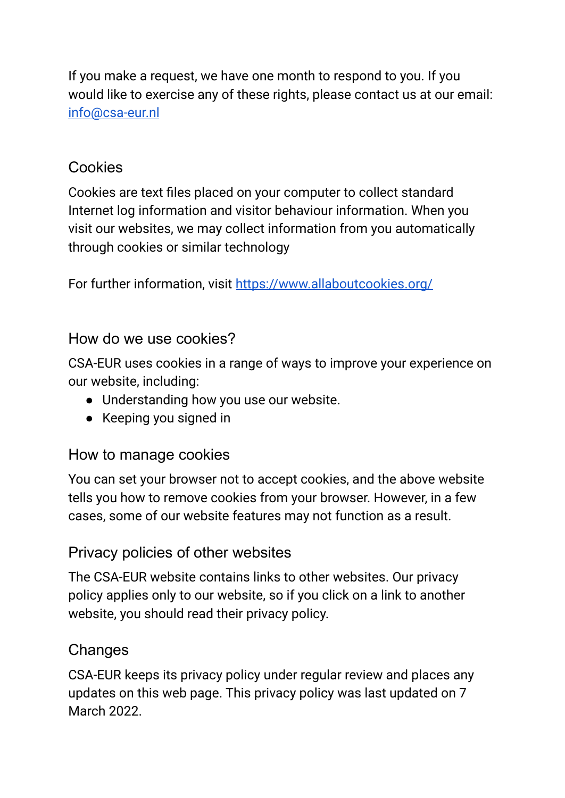If you make a request, we have one month to respond to you. If you would like to exercise any of these rights, please contact us at our email: [info@csa-eur.nl](mailto:info@csa-eur.nl)

# Cookies

Cookies are text files placed on your computer to collect standard Internet log information and visitor behaviour information. When you visit our websites, we may collect information from you automatically through cookies or similar technology

For further information, visit <https://www.allaboutcookies.org/>

#### How do we use cookies?

CSA-EUR uses cookies in a range of ways to improve your experience on our website, including:

- Understanding how you use our website.
- Keeping you signed in

# How to manage cookies

You can set your browser not to accept cookies, and the above website tells you how to remove cookies from your browser. However, in a few cases, some of our website features may not function as a result.

#### Privacy policies of other websites

The CSA-EUR website contains links to other websites. Our privacy policy applies only to our website, so if you click on a link to another website, you should read their privacy policy.

#### **Changes**

CSA-EUR keeps its privacy policy under regular review and places any updates on this web page. This privacy policy was last updated on 7 March 2022.